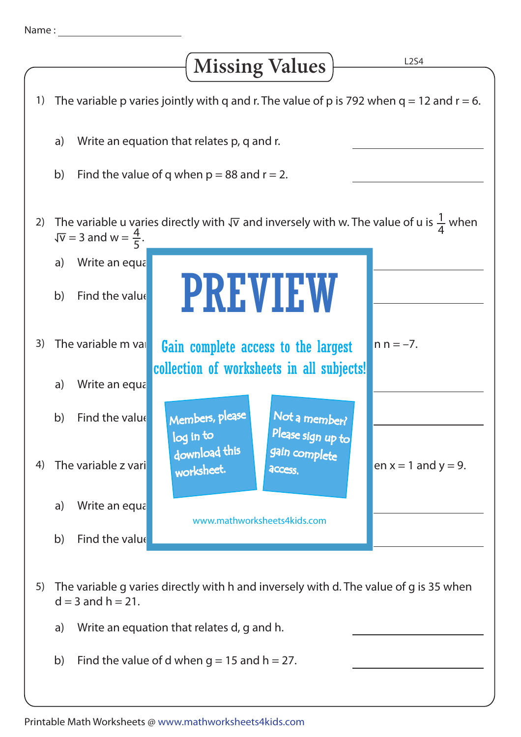